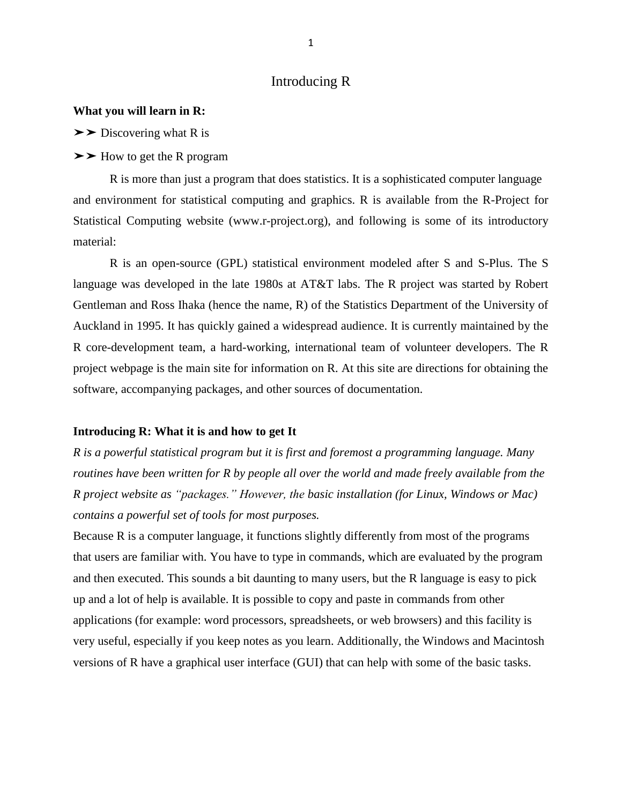# Introducing R

### **What you will learn in R:**

- $\triangleright$   $\triangleright$  Discovering what R is
- ➤➤ How to get the R program

R is more than just a program that does statistics. It is a sophisticated computer language and environment for statistical computing and graphics. R is available from the R-Project for Statistical Computing website (www.r-project.org), and following is some of its introductory material:

R is an open-source (GPL) statistical environment modeled after S and S-Plus. The S language was developed in the late 1980s at AT&T labs. The R project was started by Robert Gentleman and Ross Ihaka (hence the name, R) of the Statistics Department of the University of Auckland in 1995. It has quickly gained a widespread audience. It is currently maintained by the R core-development team, a hard-working, international team of volunteer developers. The R project webpage is the main site for information on R. At this site are directions for obtaining the software, accompanying packages, and other sources of documentation.

# **Introducing R: What it is and how to get It**

*R is a powerful statistical program but it is first and foremost a programming language. Many routines have been written for R by people all over the world and made freely available from the R project website as "packages." However, the basic installation (for Linux, Windows or Mac) contains a powerful set of tools for most purposes.*

Because R is a computer language, it functions slightly differently from most of the programs that users are familiar with. You have to type in commands, which are evaluated by the program and then executed. This sounds a bit daunting to many users, but the R language is easy to pick up and a lot of help is available. It is possible to copy and paste in commands from other applications (for example: word processors, spreadsheets, or web browsers) and this facility is very useful, especially if you keep notes as you learn. Additionally, the Windows and Macintosh versions of R have a graphical user interface (GUI) that can help with some of the basic tasks.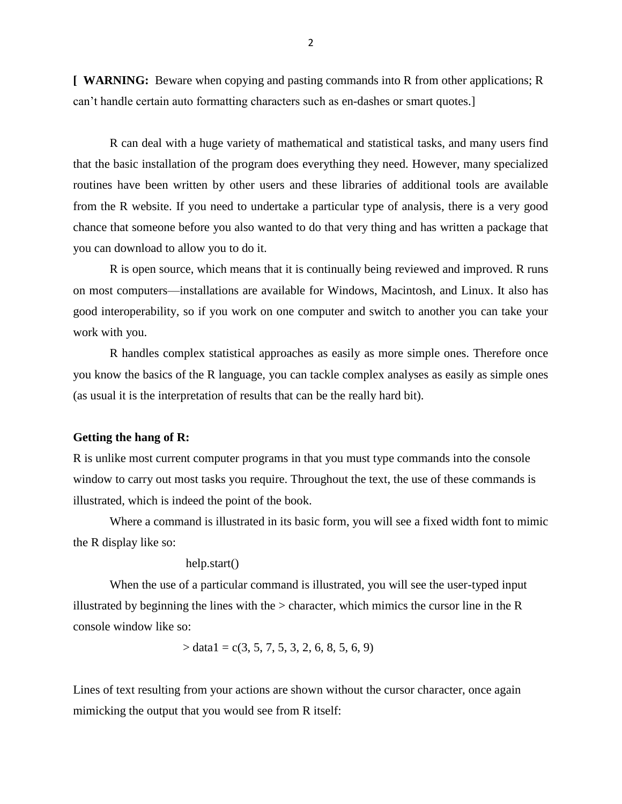**[ WARNING:** Beware when copying and pasting commands into R from other applications; R can't handle certain auto formatting characters such as en-dashes or smart quotes.]

R can deal with a huge variety of mathematical and statistical tasks, and many users find that the basic installation of the program does everything they need. However, many specialized routines have been written by other users and these libraries of additional tools are available from the R website. If you need to undertake a particular type of analysis, there is a very good chance that someone before you also wanted to do that very thing and has written a package that you can download to allow you to do it.

R is open source, which means that it is continually being reviewed and improved. R runs on most computers—installations are available for Windows, Macintosh, and Linux. It also has good interoperability, so if you work on one computer and switch to another you can take your work with you.

R handles complex statistical approaches as easily as more simple ones. Therefore once you know the basics of the R language, you can tackle complex analyses as easily as simple ones (as usual it is the interpretation of results that can be the really hard bit).

# **Getting the hang of R:**

R is unlike most current computer programs in that you must type commands into the console window to carry out most tasks you require. Throughout the text, the use of these commands is illustrated, which is indeed the point of the book.

Where a command is illustrated in its basic form, you will see a fixed width font to mimic the R display like so:

# help.start()

When the use of a particular command is illustrated, you will see the user-typed input illustrated by beginning the lines with the  $>$  character, which mimics the cursor line in the R console window like so:

$$
> data1 = c(3, 5, 7, 5, 3, 2, 6, 8, 5, 6, 9)
$$

Lines of text resulting from your actions are shown without the cursor character, once again mimicking the output that you would see from R itself: